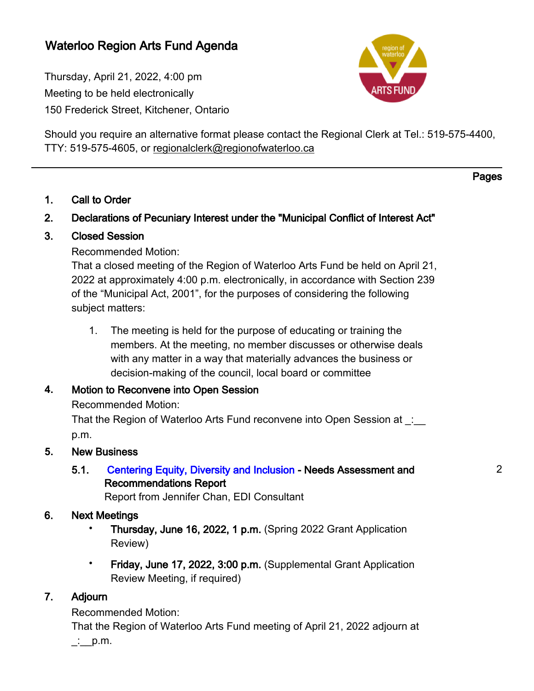### Waterloo Region Arts Fund Agenda

Thursday, April 21, 2022, 4:00 pm Meeting to be held electronically 150 Frederick Street, Kitchener, Ontario



Should you require an alternative format please contact the Regional Clerk at Tel.: 519-575-4400, TTY: 519-575-4605, or [regionalclerk@regionofwaterloo.ca](mailto:regionalclerk@regionofwaterloo.ca)

Pages

### 1. Call to Order

### 2. Declarations of Pecuniary Interest under the "Municipal Conflict of Interest Act"

### 3. Closed Session

Recommended Motion:

That a closed meeting of the Region of Waterloo Arts Fund be held on April 21, 2022 at approximately 4:00 p.m. electronically, in accordance with Section 239 of the "Municipal Act, 2001", for the purposes of considering the following subject matters:

1. The meeting is held for the purpose of educating or training the members. At the meeting, no member discusses or otherwise deals with any matter in a way that materially advances the business or decision-making of the council, local board or committee

### **4.** Motion to Reconvene into Open Session

Recommended Motion:

That the Region of Waterloo Arts Fund reconvene into Open Session at : p.m.

### **5.** New Business

### 5.1. [Centering Equity, Diversity and Inclusion](#page-1-0) - Needs Assessment and Recommendations Report

Report from Jennifer Chan, EDI Consultant

### 6. Next Meetings

- Thursday, June 16, 2022, 1 p.m. (Spring 2022 Grant Application Review)
- Friday, June 17, 2022, 3:00 p.m. (Supplemental Grant Application Review Meeting, if required)

### 7. Adjourn

Recommended Motion:

That the Region of Waterloo Arts Fund meeting of April 21, 2022 adjourn at  $\therefore$  p.m.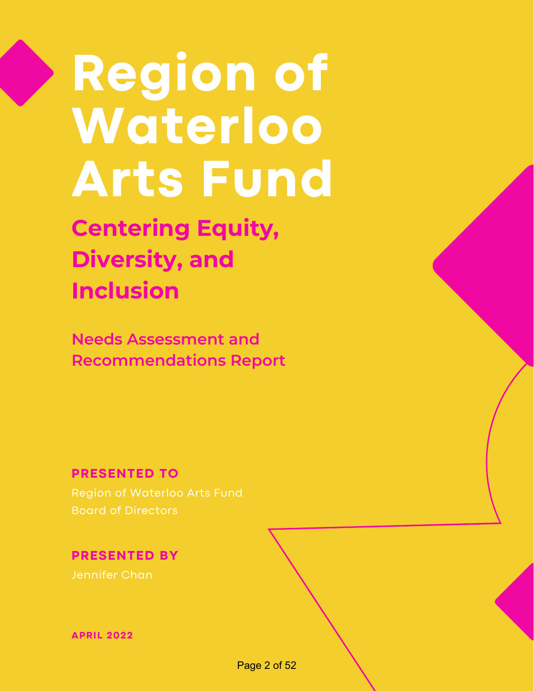# <span id="page-1-0"></span>**Region of Waterloo Arts Fund**

**Centering Equity, Diversity, and Inclusion**

**Needs Assessment and Recommendations Report**

**PRESENTED TO**

 Region of Waterloo Arts Fund Board of Directors

**PRESENTED BY**

Jennifer Chan

**APRIL 2022**

Page 2 of 52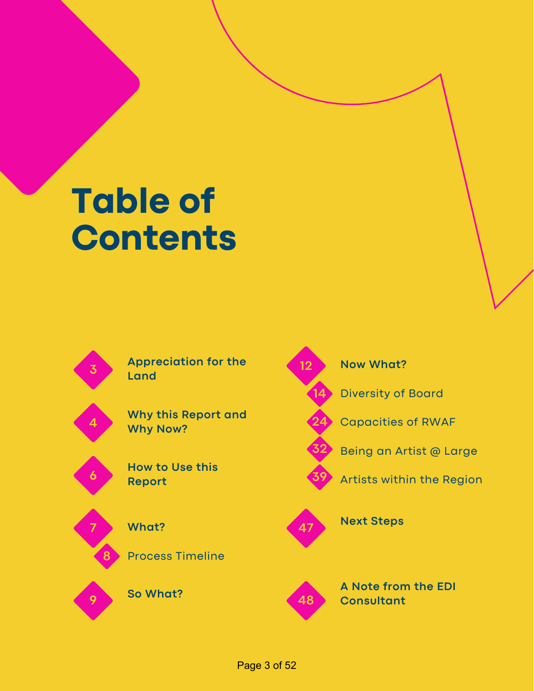# **Table of Contents**



 **Appreciation for the 12 Land**

**Why this Report and Why Now?** 



**4**

 **How to Use this**



Process Timeline



**So What?** 

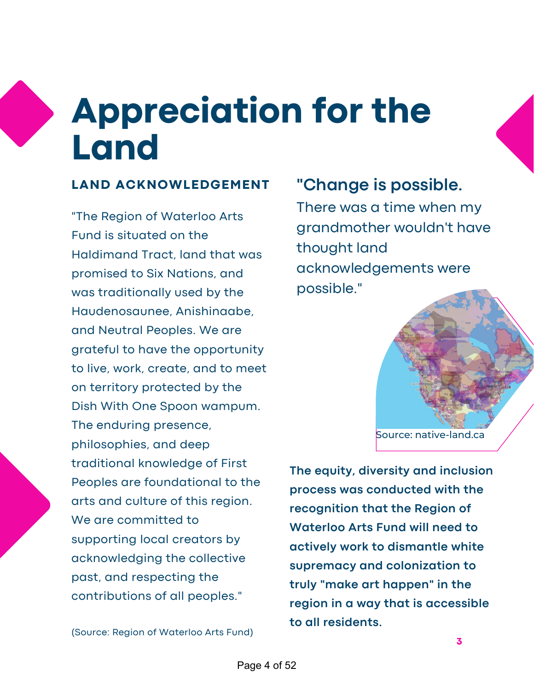# **Appreciation for the Land**

### **LAND ACKNOWLEDGEMENT**

 "The Region of Waterloo Arts Fund is situated on the Haldimand Tract, land that was promised to Six Nations, and was traditionally used by the and Neutral Peoples. We are grateful to have the opportunity to live, work, create, and to meet on territory protected by the Dish With One Spoon wampum. The enduring presence, philosophies, and deep traditional knowledge of First Peoples are foundational to the arts and culture of this region. We are committed to supporting local creators by acknowledging the collective past, and respecting the contributions of all peoples." Haudenosaunee, Anishinaabe,

(Source: Region of Waterloo Arts Fund)

### **"Change is possible.**

 There was a time when my grandmother wouldn't have thought land acknowledgements were possible."

### Source: native-land.ca

 **The equity, diversity and inclusion process was conducted with the recognition that the Region of Waterloo Arts Fund will need to actively work to dismantle white supremacy and colonization to truly "make art happen" in the region in a way that is accessible to all residents.**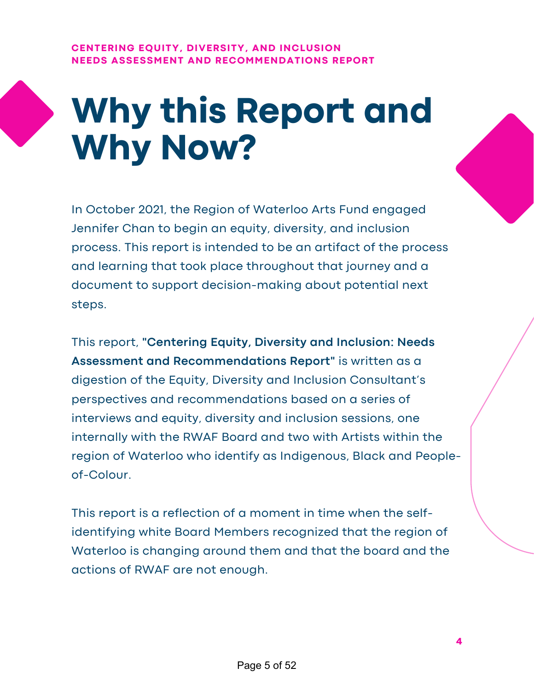### **CENTERING EQUITY, DIVERSITY, AND INCLUSION NEEDS ASSESSMENT AND RECOMMENDATIONS REPORT**



# **Why this Report and Why Now?**

 In October 2021, the Region of Waterloo Arts Fund engaged Jennifer Chan to begin an equity, diversity, and inclusion process. This report is intended to be an artifact of the process and learning that took place throughout that journey and a document to support decision-making about potential next steps.

 This report, **"Centering Equity, Diversity and Inclusion: Needs Assessment and Recommendations Report"** is written as a digestion of the Equity, Diversity and Inclusion Consultant's perspectives and recommendations based on a series of interviews and equity, diversity and inclusion sessions, one internally with the RWAF Board and two with Artists within the region of Waterloo who identify as Indigenous, Black and Peopleof-Colour.

 This report is a reflection of a moment in time when the self- identifying white Board Members recognized that the region of Waterloo is changing around them and that the board and the actions of RWAF are not enough.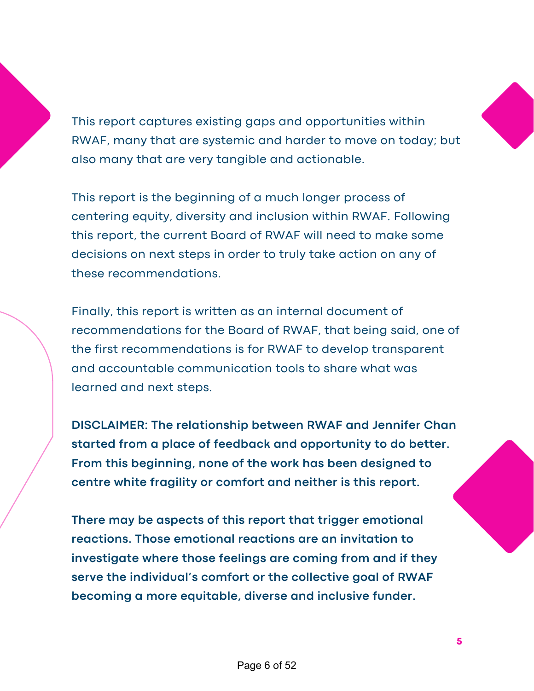This report captures existing gaps and opportunities within RWAF, many that are systemic and harder to move on today; but also many that are very tangible and actionable.

 This report is the beginning of a much longer process of centering equity, diversity and inclusion within RWAF. Following this report, the current Board of RWAF will need to make some decisions on next steps in order to truly take action on any of these recommendations.

 Finally, this report is written as an internal document of recommendations for the Board of RWAF, that being said, one of the first recommendations is for RWAF to develop transparent and accountable communication tools to share what was learned and next steps.

 **DISCLAIMER: The relationship between RWAF and Jennifer Chan started from a place of feedback and opportunity to do better. From this beginning, none of the work has been designed to centre white fragility or comfort and neither is this report.**

 **There may be aspects of this report that trigger emotional reactions. Those emotional reactions are an invitation to investigate where those feelings are coming from and if they serve the individual's comfort or the collective goal of RWAF becoming a more equitable, diverse and inclusive funder.**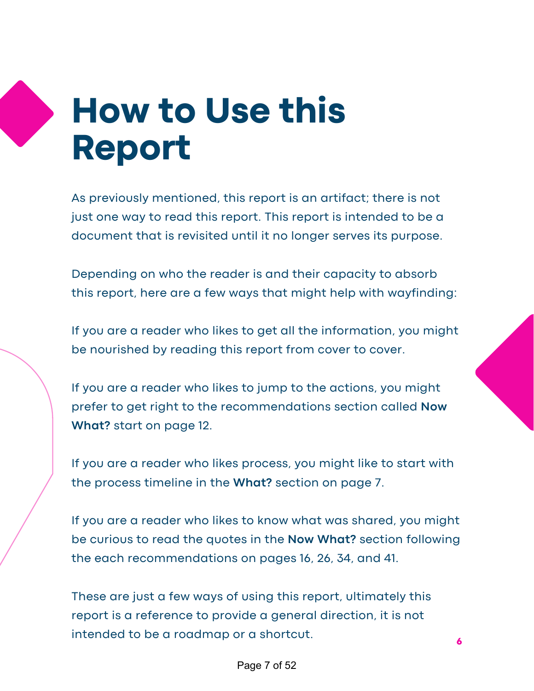# **How to Use this Report**

 As previously mentioned, this report is an artifact; there is not just one way to read this report. This report is intended to be a document that is revisited until it no longer serves its purpose.

 Depending on who the reader is and their capacity to absorb this report, here are a few ways that might help with wayfinding:

 If you are a reader who likes to get all the information, you might be nourished by reading this report from cover to cover.

 If you are a reader who likes to jump to the actions, you might prefer to get right to the recommendations section called **Now What?** start on page 12.

 If you are a reader who likes process, you might like to start with the process timeline in the **What?** section on page 7.

 If you are a reader who likes to know what was shared, you might be curious to read the quotes in the **Now What?** section following the each recommendations on pages 16, 26, 34, and 41.

 These are just a few ways of using this report, ultimately this report is a reference to provide a general direction, it is not intended to be <sup>a</sup> roadmap or <sup>a</sup> shortcut. **<sup>6</sup>**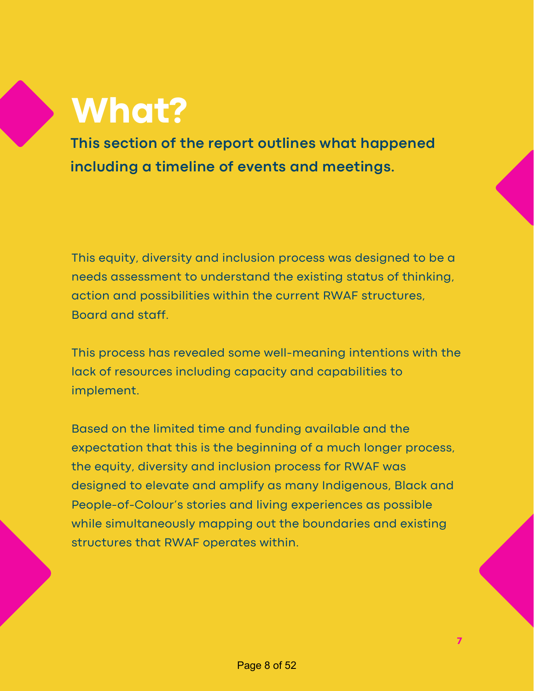# **What?**

 **This section of the report outlines what happened including a timeline of events and meetings.**

 This equity, diversity and inclusion process was designed to be a needs assessment to understand the existing status of thinking, action and possibilities within the current RWAF structures, Board and staff.

 This process has revealed some well-meaning intentions with the lack of resources including capacity and capabilities to implement.

 Based on the limited time and funding available and the expectation that this is the beginning of a much longer process, the equity, diversity and inclusion process for RWAF was designed to elevate and amplify as many Indigenous, Black and People-of-Colour's stories and living experiences as possible while simultaneously mapping out the boundaries and existing structures that RWAF operates within.

**7**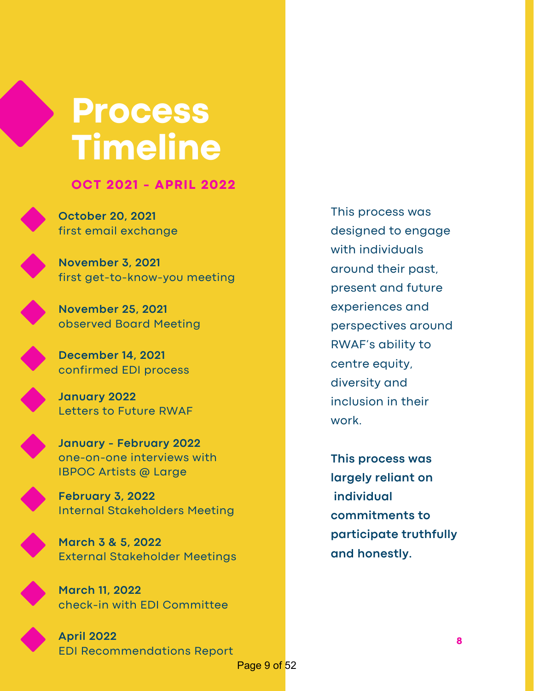### **Process Timeline**

 **OCT 2021 - APRIL 2022**

 **October 20, 2021** first email exchange

 **November 3, 2021** first get-to-know-you meeting



 **November 25, 2021** observed Board Meeting

 **December 14, 2021** confirmed EDI process



 **January 2022** Letters to Future RWAF

 **January - February 2022** IBPOC Artists @ Large one-on-one interviews with

 **February 3, 2022** Internal Stakeholders Meeting



 **March 3 & 5, 2022** External Stakeholder Meetings

 **March 11, 2022** check-in with EDI Committee



 **April 2022** EDI Recommendations Report

 This process was designed to engage around their past, present and future RWAF's ability to inclusion in their with individuals experiences and perspectives around centre equity, diversity and work.

 **This process was largely reliant on and honestly. individual commitments to participate truthfully**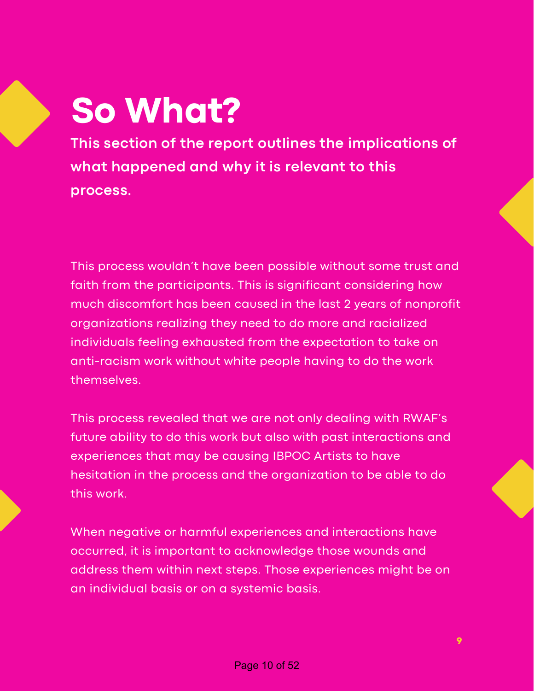# **So What?**

 **This section of the report outlines the implications of what happened and why it is relevant to this process.**

 This process wouldn't have been possible without some trust and faith from the participants. This is significant considering how much discomfort has been caused in the last 2 years of nonprofit organizations realizing they need to do more and racialized individuals feeling exhausted from the expectation to take on anti-racism work without white people having to do the work themselves.

 This process revealed that we are not only dealing with RWAF's future ability to do this work but also with past interactions and experiences that may be causing IBPOC Artists to have hesitation in the process and the organization to be able to do this work.

 When negative or harmful experiences and interactions have occurred, it is important to acknowledge those wounds and address them within next steps. Those experiences might be on an individual basis or on a systemic basis.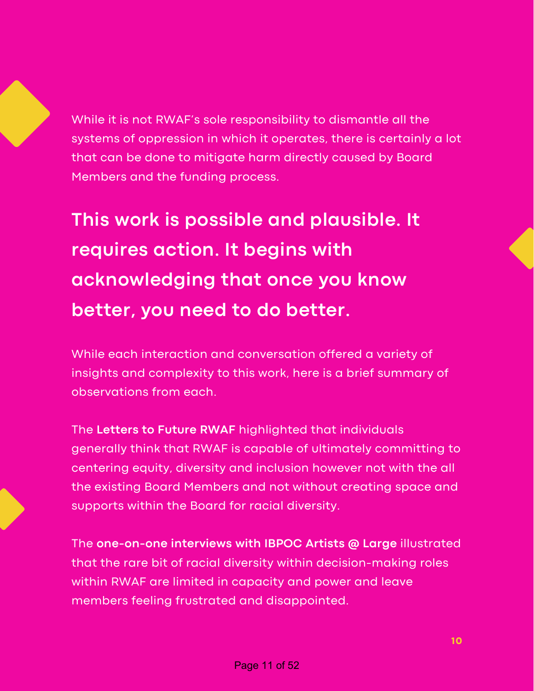While it is not RWAF's sole responsibility to dismantle all the systems of oppression in which it operates, there is certainly a lot that can be done to mitigate harm directly caused by Board Members and the funding process.

 **This work is possible and plausible. It requires action. It begins with acknowledging that once you know better, you need to do better.**

 While each interaction and conversation offered a variety of insights and complexity to this work, here is a brief summary of observations from each.

 The **Letters to Future RWAF** highlighted that individuals generally think that RWAF is capable of ultimately committing to centering equity, diversity and inclusion however not with the all the existing Board Members and not without creating space and supports within the Board for racial diversity.

 The **one-on-one interviews with IBPOC Artists @ Large** illustrated that the rare bit of racial diversity within decision-making roles within RWAF are limited in capacity and power and leave members feeling frustrated and disappointed.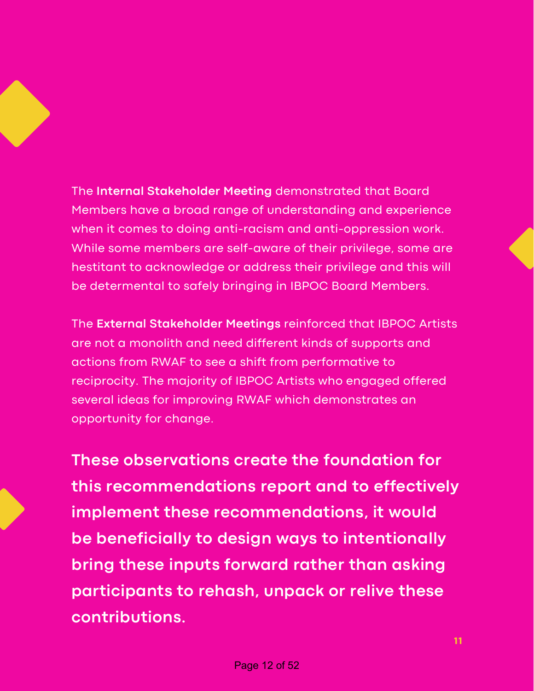### The **Internal Stakeholder Meeting** demonstrated that Board Members have a broad range of understanding and experience when it comes to doing anti-racism and anti-oppression work. While some members are self-aware of their privilege, some are

 hestitant to acknowledge or address their privilege and this will be determental to safely bringing in IBPOC Board Members.

 The **External Stakeholder Meetings** reinforced that IBPOC Artists are not a monolith and need different kinds of supports and actions from RWAF to see a shift from performative to reciprocity. The majority of IBPOC Artists who engaged offered several ideas for improving RWAF which demonstrates an opportunity for change.

 **These observations create the foundation for this recommendations report and to effectively implement these recommendations, it would be beneficially to design ways to intentionally bring these inputs forward rather than asking participants to rehash, unpack or relive these contributions.**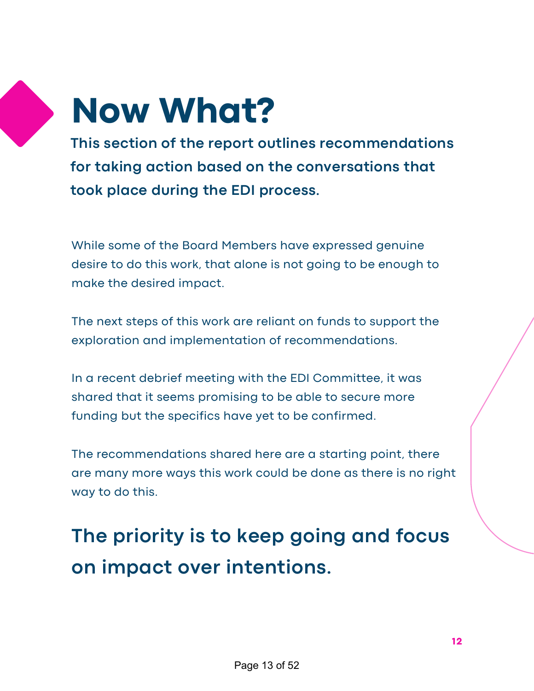

# **Now What?**

 **This section of the report outlines recommendations for taking action based on the conversations that took place during the EDI process.**

 While some of the Board Members have expressed genuine desire to do this work, that alone is not going to be enough to make the desired impact.

 The next steps of this work are reliant on funds to support the exploration and implementation of recommendations.

 In a recent debrief meeting with the EDI Committee, it was shared that it seems promising to be able to secure more funding but the specifics have yet to be confirmed.

 The recommendations shared here are a starting point, there are many more ways this work could be done as there is no right way to do this.

 **The priority is to keep going and focus on impact over intentions.**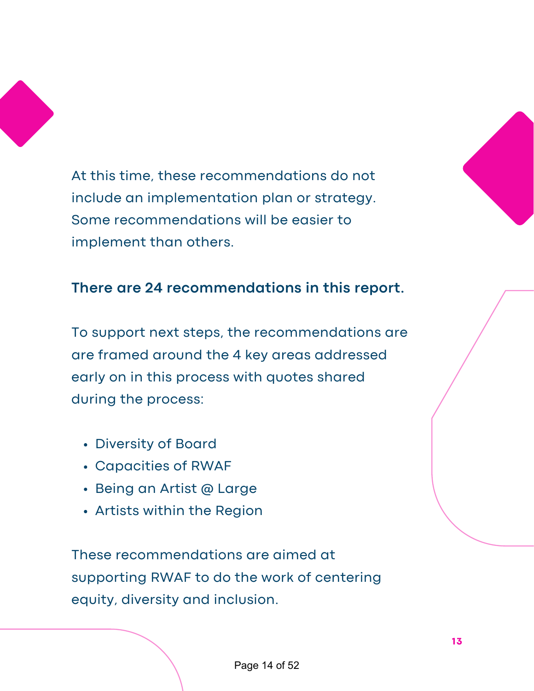

 At this time, these recommendations do not include an implementation plan or strategy. Some recommendations will be easier to implement than others.



 To support next steps, the recommendations are are framed around the 4 key areas addressed early on in this process with quotes shared during the process:

- Diversity of Board
- Capacities of RWAF
- Being an Artist @ Large
- Artists within the Region

 These recommendations are aimed at supporting RWAF to do the work of centering equity, diversity and inclusion.



**13**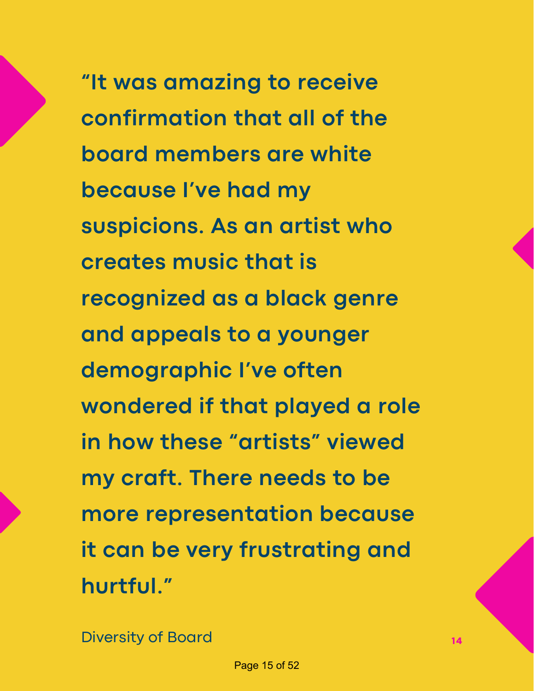**"It was amazing to receive confirmation that all of the board members are white because I've had my suspicions. As an artist who creates music that is recognized as a black genre and appeals to a younger demographic I've often wondered if that played a role in how these "artists" viewed my craft. There needs to be it can be very frustrating and more representation because hurtful."**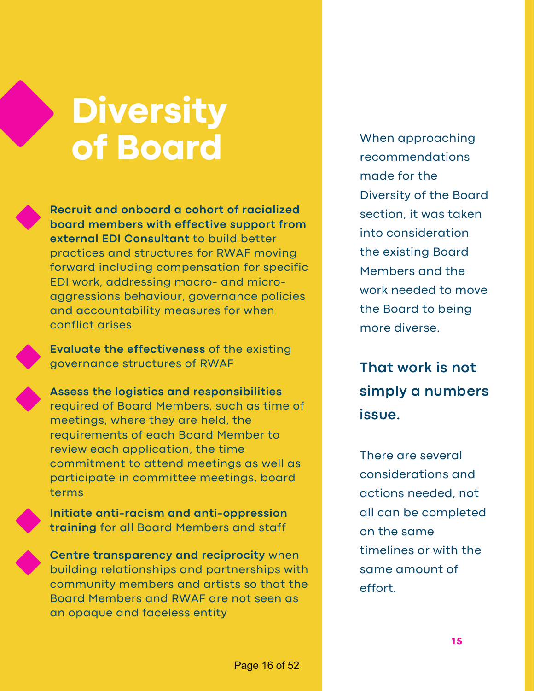# **Diversity of Board**

 **Recruit and onboard a cohort of racialized board members with effective support from external EDI Consultant** to build better practices and structures for RWAF moving forward including compensation for specific EDI work, addressing macro- and micro- and accountability measures for when aggressions behaviour, governance policies conflict arises

 **Evaluate the effectiveness** of the existing governance structures of RWAF

 **Assess the logistics and responsibilities** required of Board Members, such as time of meetings, where they are held, the requirements of each Board Member to review each application, the time commitment to attend meetings as well as participate in committee meetings, board terms

 **Initiate anti-racism and anti-oppression training** for all Board Members and staff

 **Centre transparency and reciprocity** when building relationships and partnerships with community members and artists so that the Board Members and RWAF are not seen as an opaque and faceless entity

 made for the Diversity of the Board section, it was taken the existing Board Members and the work needed to move the Board to being more diverse. When approaching recommendations into consideration

 **That work is not simply a numbers issue.**

 There are several actions needed, not all can be completed on the same timelines or with the same amount of considerations and effort.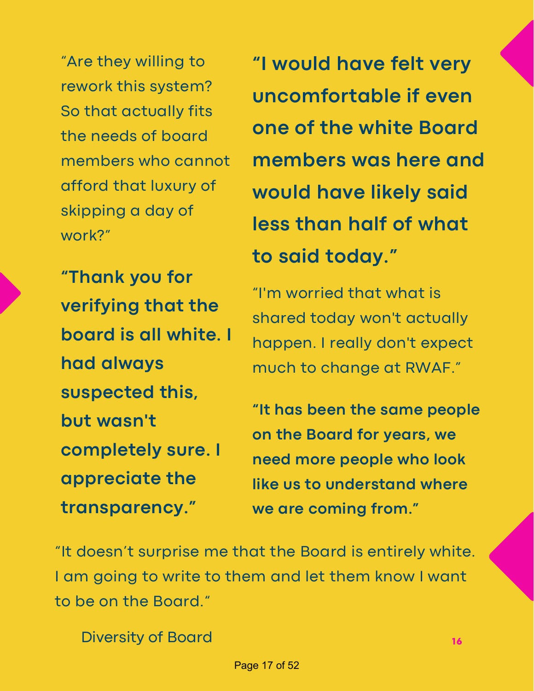"Are they willing to rework this system? So that actually fits the needs of board members who cannot afford that luxury of skipping a day of work?"

 **"Thank you for verifying that the board is all white. I completely sure. I had always suspected this, but wasn't appreciate the transparency."**

 **"I would have felt very uncomfortable if even one of the white Board members was here and would have likely said less than half of what to said today."**

 "I'm worried that what is shared today won't actually happen. I really don't expect much to change at RWAF."

 **"It has been the same people on the Board for years, we need more people who look like us to understand where we are coming from."**

 "It doesn't surprise me that the Board is entirely white. I am going to write to them and let them know I want to be on the Board."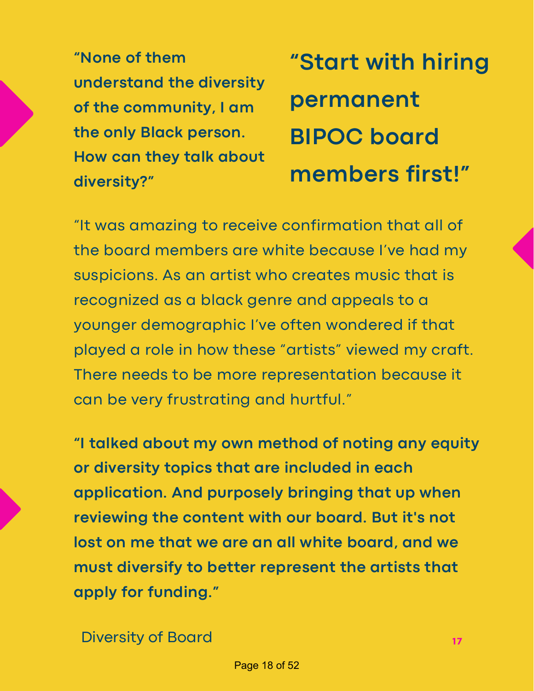"None of them  **understand the diversity of the community, <sup>I</sup> am permanent** the only Black person.  **How can they talk about members first!" diversity?"**

 **"None of them "Start with hiring BIPOC** board

 "It was amazing to receive confirmation that all of the board members are white because I've had my suspicions. As an artist who creates music that is recognized as a black genre and appeals to a younger demographic I've often wondered if that played a role in how these "artists" viewed my craft. There needs to be more representation because it can be very frustrating and hurtful."

 **"I talked about my own method of noting any equity or diversity topics that are included in each application. And purposely bringing that up when reviewing the content with our board. But it's not lost on me that we are an all white board, and we must diversify to better represent the artists that apply for funding."**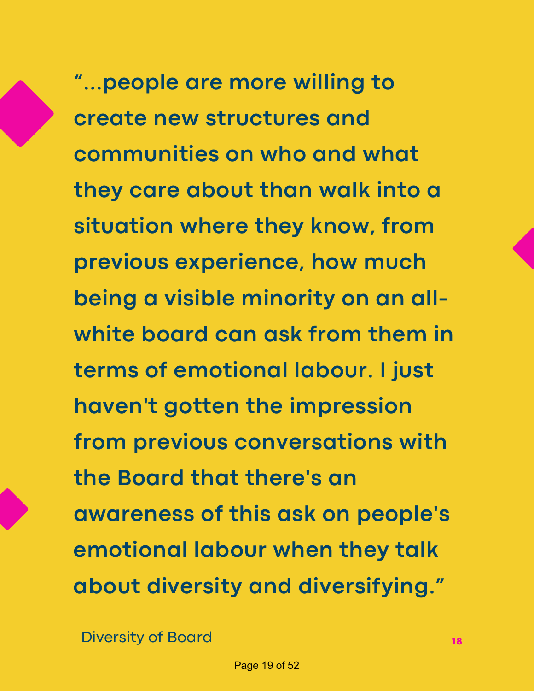**"...people are more willing to create new structures and communities on who and what they care about than walk into a situation where they know, from previous experience, how much being a visible minority on an all- white board can ask from them in terms of emotional labour. I just haven't gotten the impression from previous conversations with the Board that there's an awareness of this ask on people's emotional labour when they talk about diversity and diversifying."**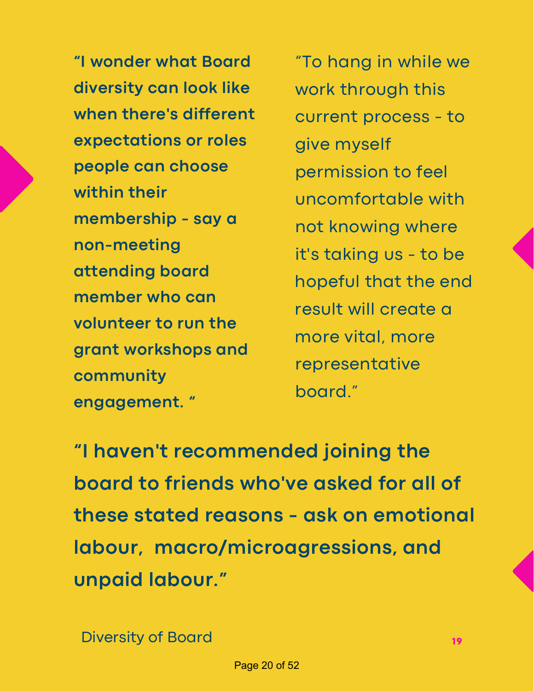**"I wonder what Board diversity can look like when there's different expectations or roles people can choose membership - say a member who can volunteer to run the within their non-meeting attending board grant workshops and community engagement. "**

 "To hang in while we work through this current process - to permission to feel not knowing where it's taking us - to be hopeful that the end result will create a more vital, more give myself uncomfortable with representative board."

 **"I haven't recommended joining the board to friends who've asked for all of these stated reasons - ask on emotional labour, macro/microagressions, and unpaid labour."**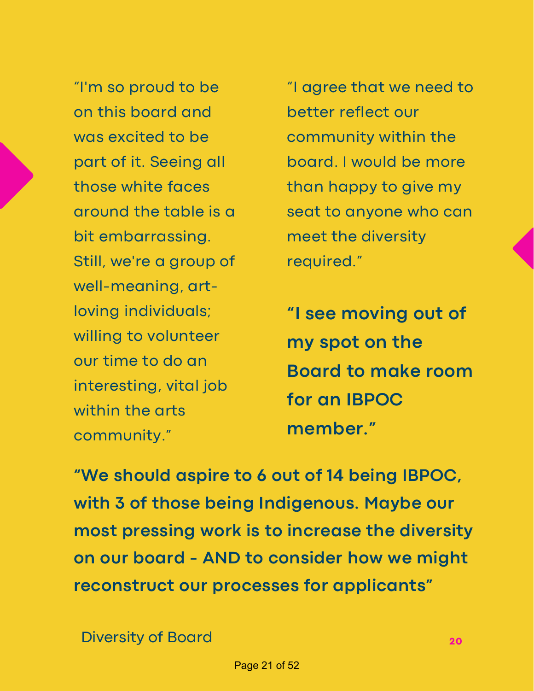"I'm so proud to be on this board and was excited to be part of it. Seeing all those white faces around the table is a Still, we're a group of willing to volunteer our time to do an interesting, vital job within the arts bit embarrassing. well-meaning, artloving individuals; community."

 "I agree that we need to better reflect our community within the board. I would be more than happy to give my seat to anyone who can meet the diversity required."

 **"I see moving out of my spot on the Board to make room for an IBPOC member."**

 **"We should aspire to 6 out of 14 being IBPOC, with 3 of those being Indigenous. Maybe our most pressing work is to increase the diversity on our board - AND to consider how we might reconstruct our processes for applicants"**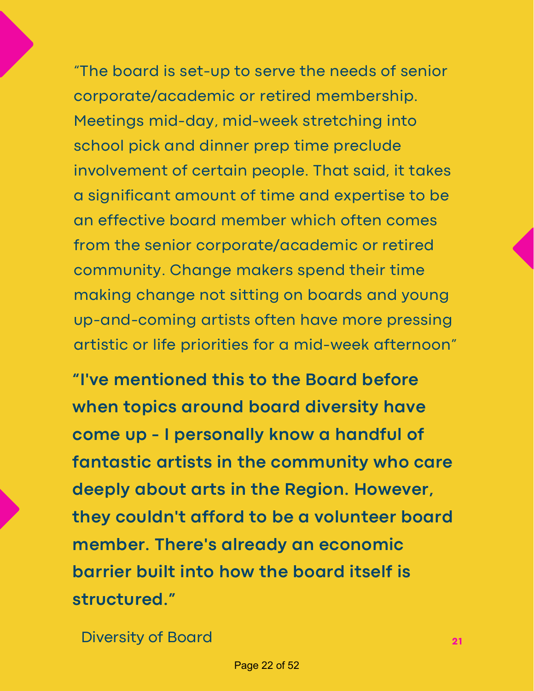"The board is set-up to serve the needs of senior corporate/academic or retired membership. Meetings mid-day, mid-week stretching into school pick and dinner prep time preclude involvement of certain people. That said, it takes a significant amount of time and expertise to be an effective board member which often comes from the senior corporate/academic or retired community. Change makers spend their time making change not sitting on boards and young up-and-coming artists often have more pressing artistic or life priorities for a mid-week afternoon"

 **"I've mentioned this to the Board before when topics around board diversity have come up - I personally know a handful of fantastic artists in the community who care deeply about arts in the Region. However, they couldn't afford to be a volunteer board member. There's already an economic barrier built into how the board itself is structured."**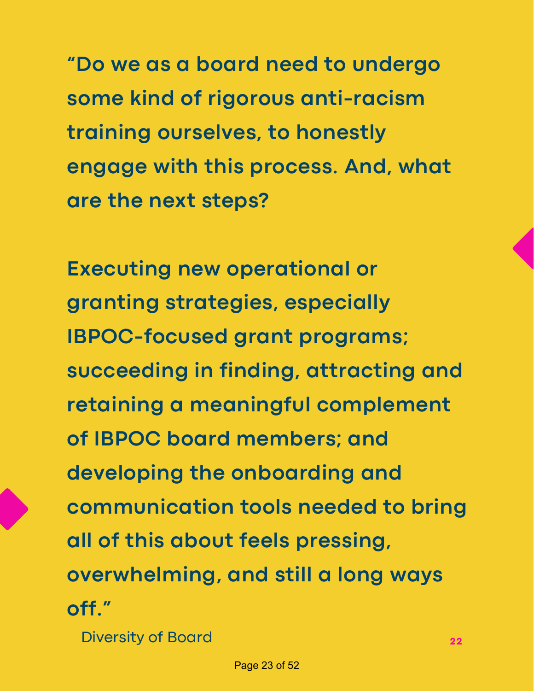**"Do we as a board need to undergo some kind of rigorous anti-racism training ourselves, to honestly engage with this process. And, what are the next steps?**

 **Executing new operational or IBPOC-focused grant programs; succeeding in finding, attracting and retaining a meaningful complement of IBPOC board members; and developing the onboarding and communication tools needed to bring all of this about feels pressing, overwhelming, and still a long ways granting strategies, especially off."**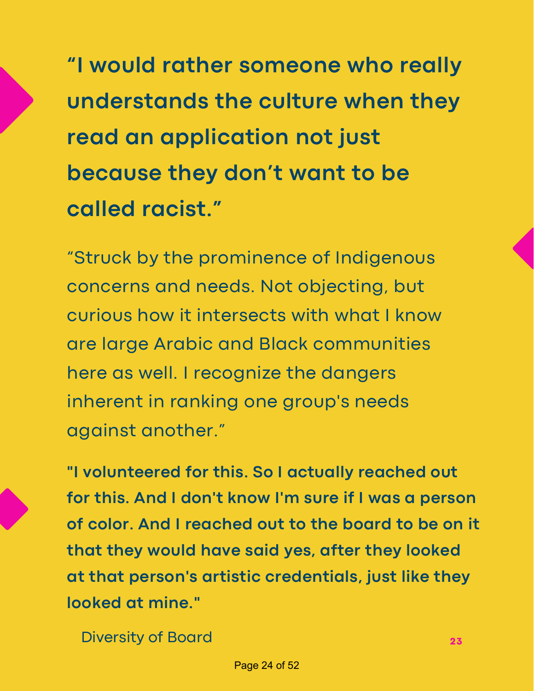**"I would rather someone who really understands the culture when they read an application not just because they don't want to be called racist."**

 "Struck by the prominence of Indigenous concerns and needs. Not objecting, but curious how it intersects with what I know are large Arabic and Black communities here as well. I recognize the dangers inherent in ranking one group's needs against another."

 **"I volunteered for this. So I actually reached out for this. And I don't know I'm sure if I was a person of color. And I reached out to the board to be on it that they would have said yes, after they looked at that person's artistic credentials, just like they looked at mine."**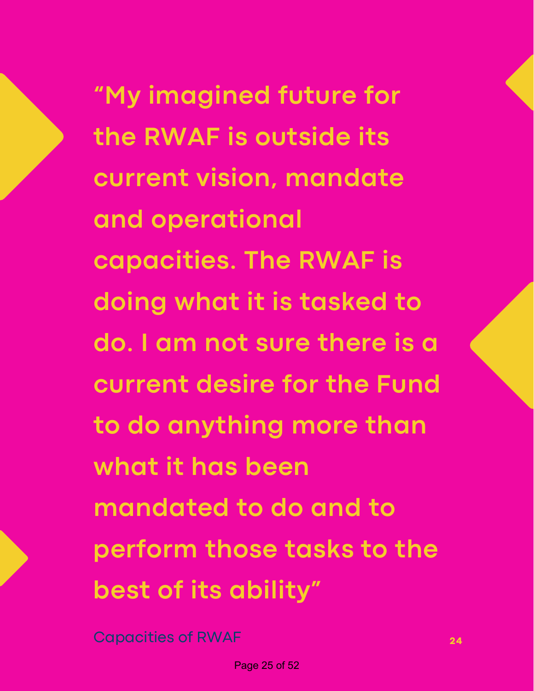**"My imagined future for the RWAF is outside its current vision, mandate capacities. The RWAF is doing what it is tasked to do. I am not sure there is a current desire for the Fund to do anything more than what it has been mandated to do and to perform those tasks to the best of its ability" and operational**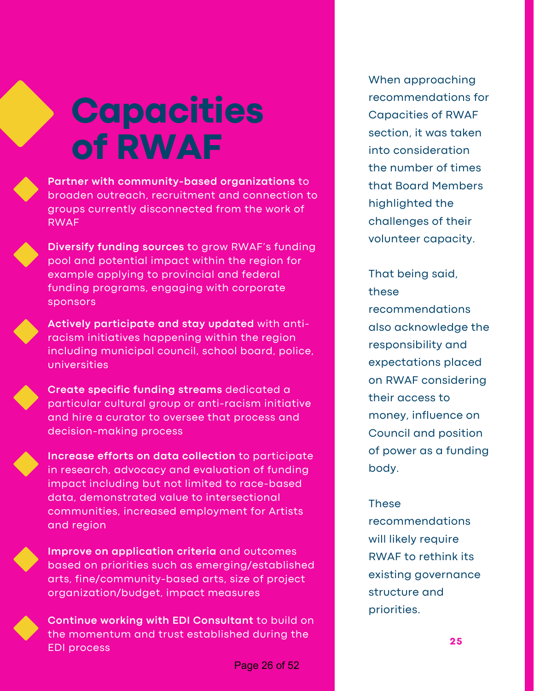# **Capacities of RWAF**



 **Partner with community-based organizations** to broaden outreach, recruitment and connection to groups currently disconnected from the work of RWAF



 **Diversify funding sources** to grow RWAF's funding pool and potential impact within the region for example applying to provincial and federal funding programs, engaging with corporate sponsors



 **Actively participate and stay updated** with anti- racism initiatives happening within the region including municipal council, school board, police, universities



 **Create specific funding streams** dedicated a particular cultural group or anti-racism initiative and hire a curator to oversee that process and decision-making process



 **Increase efforts on data collection** to participate in research, advocacy and evaluation of funding impact including but not limited to race-based data, demonstrated value to intersectional communities, increased employment for Artists and region



 **Improve on application criteria** and outcomes based on priorities such as emerging/established arts, fine/community-based arts, size of project organization/budget, impact measures



 **Continue working with EDI Consultant** to build on the momentum and trust established during the EDI process

 Capacities of RWAF section, it was taken the number of times that Board Members challenges of their When approaching recommendations for into consideration highlighted the volunteer capacity.

 That being said, on RWAF considering their access to money, influence on Council and position of power as a funding these recommendations also acknowledge the responsibility and expectations placed body.

### These

 will likely require RWAF to rethink its recommendations existing governance structure and priorities.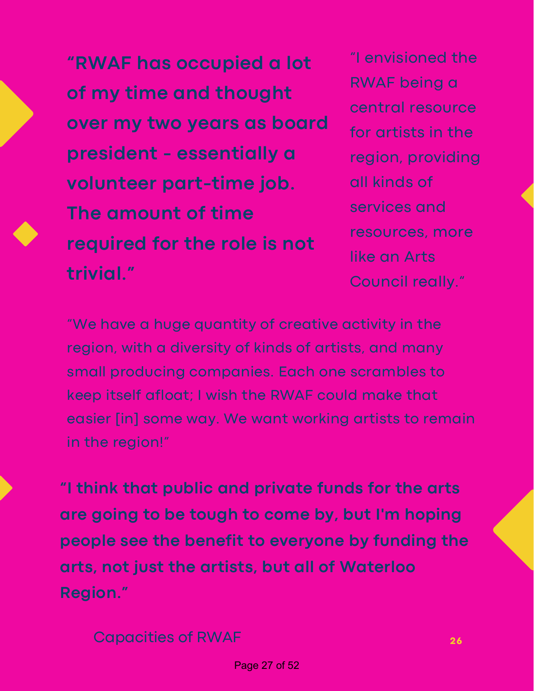"I envisioned the **"RWAF has occupied a lot over my two years as board** for artists in the  **president - essentially a** region, providing  **volunteer part-time job.** all kinds of  services and **The amount of time**  resources, more **required for the role is not** RWAF being <sup>a</sup> **of my time and thought** central resource **trivial."** Council really."

**RWAF being a** for artists in the all kinds of like an Arts

 "We have a huge quantity of creative activity in the region, with a diversity of kinds of artists, and many small producing companies. Each one scrambles to keep itself afloat; I wish the RWAF could make that easier [in] some way. We want working artists to remain in the region!"

 **"I think that public and private funds for the arts are going to be tough to come by, but I'm hoping people see the benefit to everyone by funding the arts, not just the artists, but all of Waterloo Region."**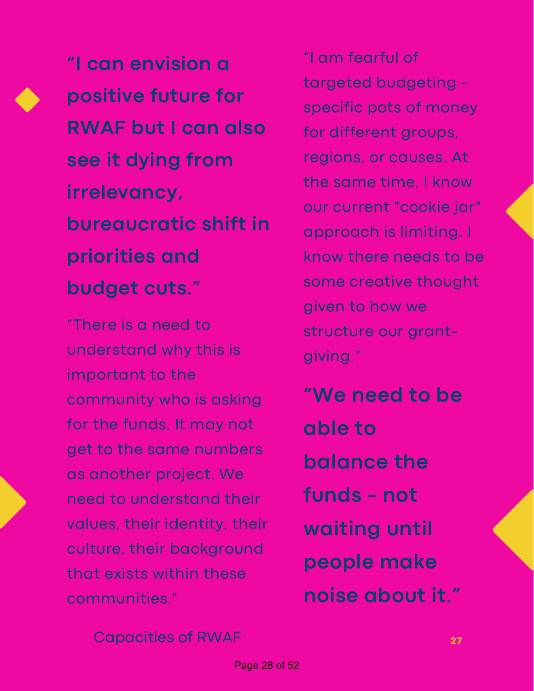**"I can envision a positive future for RWAF but I can also see it dying from bureaucratic shift in irrelevancy, priorities and budget cuts."**

 "There is a need to understand why this is important to the community who is asking for the funds. It may not get to the same numbers as another project. We need to understand their values, their identity, their culture, their background that exists within these communities."

 "I am fearful of specific pots of money for different groups, regions, or causes. At the same time, I know our current "cookie jar" approach is limiting. I know there needs to be some creative thought given to how we structure our granttargeted budgeting giving."

 **"We need to be funds - not noise about it." able to balance the waiting until people make**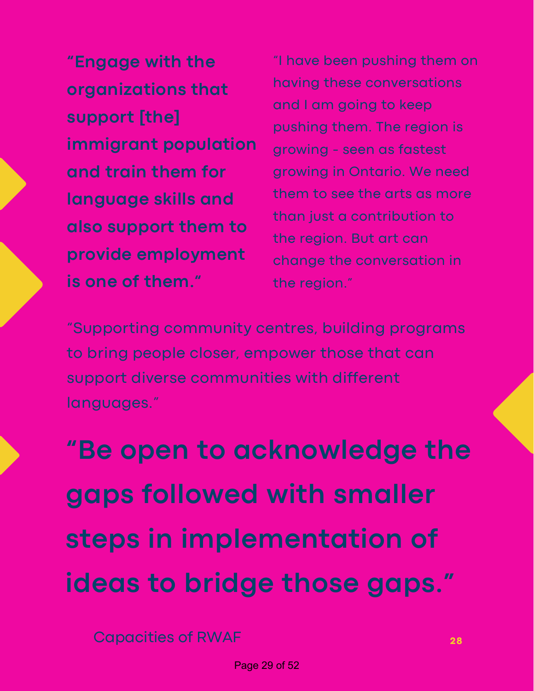"Engage with the and train them for  than just <sup>a</sup> contribution to **also support them to is one of them."** the region." having these conversations **organizations that immigrant** population **provide employment** 

 them to see the arts as more **language skills and "Engage with the** "I have been pushing them on having these conversations and I am going to keep and <sup>I</sup> am going to keep **support [the]** pushing them. The region is growing - seen as fastest **and train them for** growing in Ontario. We need them to see the arts as more than just a contribution to the region. But art can change the conversation in the region."

 "Supporting community centres, building programs to bring people closer, empower those that can support diverse communities with different languages."

 **"Be open to acknowledge the gaps followed with smaller steps in implementation of ideas to bridge those gaps."**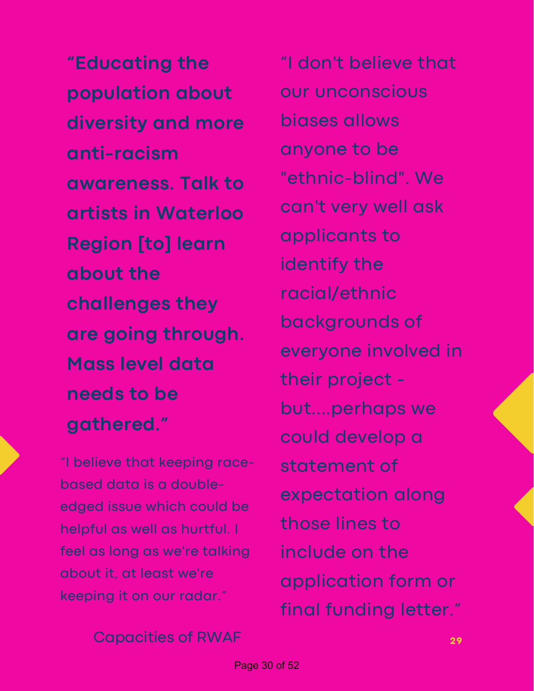**diversity and more awareness. Talk to artists in Waterloo Region [to] learn are going through. Mass level data needs to be "Educating the population about anti-racism about the challenges they gathered."**

 "I believe that keeping race- based data is a double- edged issue which could be helpful as well as hurtful. I feel as long as we're talking about it, at least we're keeping it on our radar."

 "I don't believe that anyone to be can't very well ask everyone involved in their project - could develop a those lines to include on the application form or final funding letter." our unconscious biases allows "ethnic-blind". We applicants to identify the racial/ethnic backgrounds of but....perhaps we statement of expectation along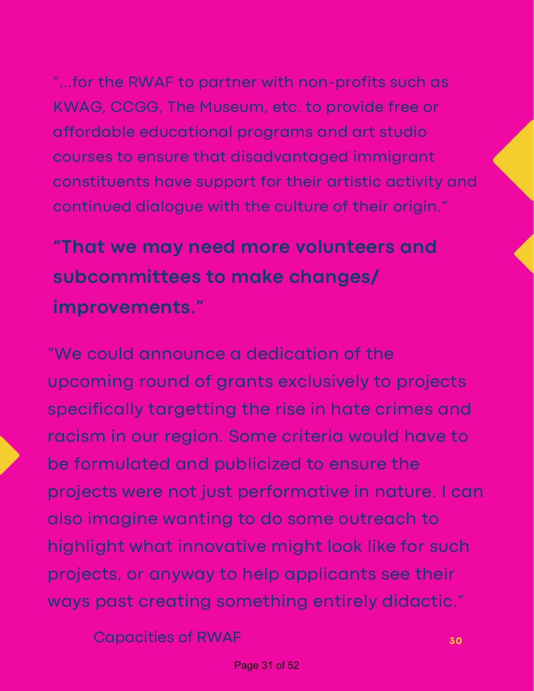"...for the RWAF to partner with non-profits such as KWAG, CCGG, The Museum, etc. to provide free or affordable educational programs and art studio courses to ensure that disadvantaged immigrant constituents have support for their artistic activity and continued dialogue with the culture of their origin."

 **"That we may need more volunteers and subcommittees to make changes/ improvements."**

 "We could announce a dedication of the upcoming round of grants exclusively to projects specifically targetting the rise in hate crimes and racism in our region. Some criteria would have to be formulated and publicized to ensure the projects were not just performative in nature. I can also imagine wanting to do some outreach to highlight what innovative might look like for such projects, or anyway to help applicants see their ways past creating something entirely didactic."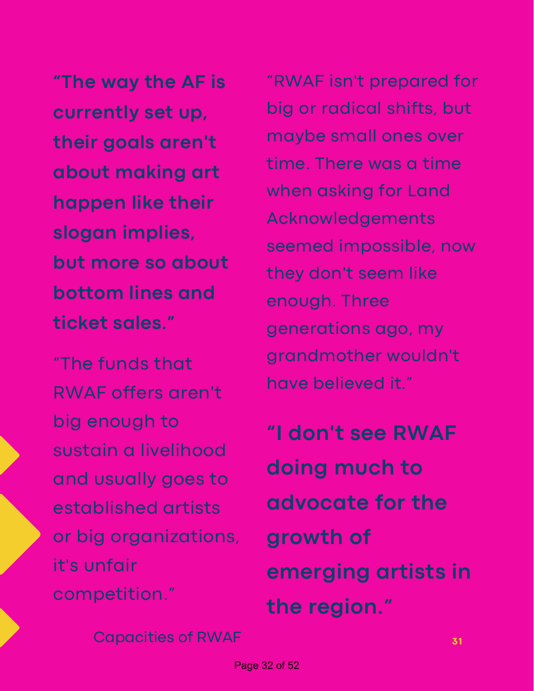**"The way the AF is currently set up, their goals aren't about making art happen like their but more so about bottom lines and slogan implies, ticket sales."**

 "The funds that RWAF offers aren't big enough to sustain a livelihood and usually goes to or big organizations, established artists it's unfair competition."

 "RWAF isn't prepared for big or radical shifts, but maybe small ones over time. There was a time when asking for Land they don't seem like generations ago, my have believed it." Acknowledgements seemed impossible, now enough. Three grandmother wouldn't

 **"I don't see RWAF doing much to advocate for the emerging artists in growth of the region."**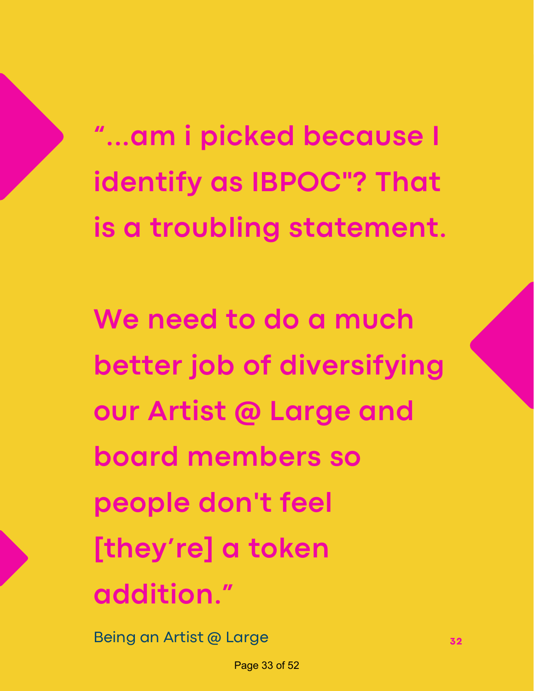**"...am i picked because I identify as IBPOC"? That is a troubling statement.**

 **We need to do a much better job of diversifying our Artist @ Large and board members so people don't feel [they're] a token addition."**

Being an Artist @ Large **<sup>32</sup>**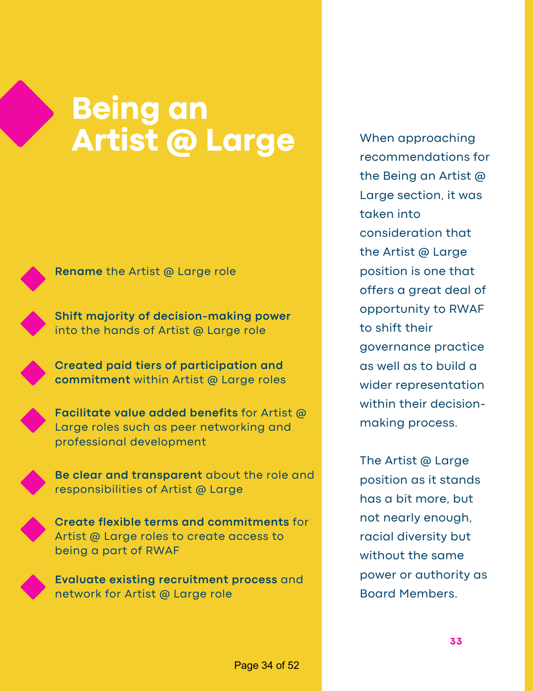### **Artist @ Large Being an**



**Rename** the Artist @ Large role

 **Shift majority of decision-making power** into the hands of Artist @ Large role

 **Created paid tiers of participation and commitment** within Artist @ Large roles



 **Facilitate value added benefits** for Artist @ Large roles such as peer networking and professional development





 **Create flexible terms and commitments** for Artist @ Large roles to create access to being a part of RWAF

 **Evaluate existing recruitment process** and network for Artist @ Large role

 the Being an Artist @ Large section, it was the Artist @ Large position is one that offers a great deal of opportunity to RWAF to shift their as well as to build a within their decision- making process. When approaching recommendations for taken into consideration that governance practice wider representation

 The Artist @ Large position as it stands has a bit more, but not nearly enough, racial diversity but without the same power or authority as Board Members.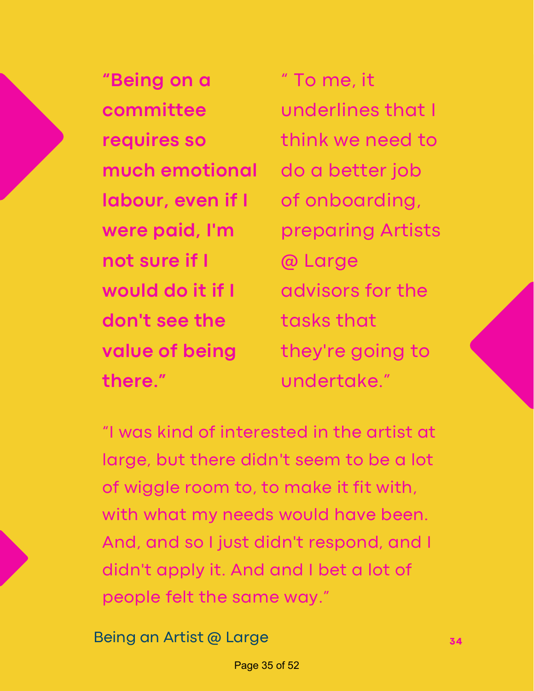**"Being on a** " To me, it  **labour, even if I** of onboarding, were paid, I'm  **not sure if I** @ Large  **would do it if I** advisors for the  **don't see the** tasks that **value of being much emotional** do a better job **value of being** they're going to **there."** undertake."

" To me, it **committee** underlines that I **requires so** think we need to advisors for the **were paid, I'm** preparing Artists

 "I was kind of interested in the artist at large, but there didn't seem to be a lot of wiggle room to, to make it fit with, with what my needs would have been. And, and so I just didn't respond, and I didn't apply it. And and I bet a lot of people felt the same way."

Being an Artist @ Large **<sup>34</sup>**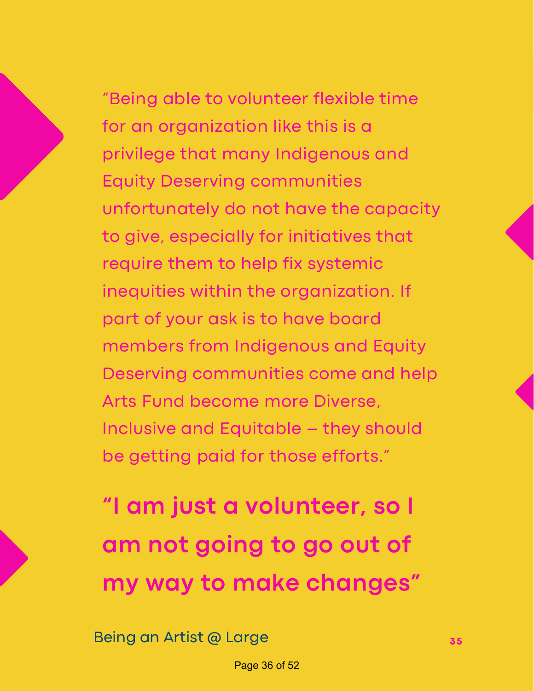"Being able to volunteer flexible time for an organization like this is a privilege that many Indigenous and Equity Deserving communities unfortunately do not have the capacity to give, especially for initiatives that require them to help fix systemic inequities within the organization. If part of your ask is to have board members from Indigenous and Equity Deserving communities come and help Arts Fund become more Diverse, Inclusive and Equitable – they should be getting paid for those efforts."

 **"I am just a volunteer, so I am not going to go out of my way to make changes"**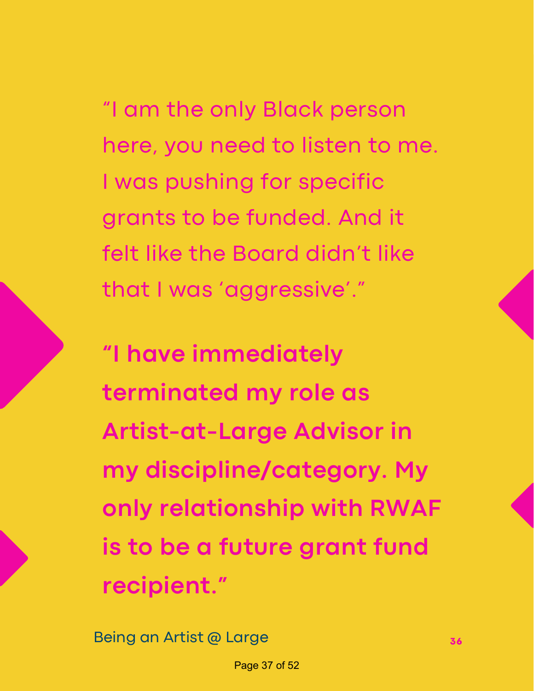"I am the only Black person here, you need to listen to me. I was pushing for specific grants to be funded. And it felt like the Board didn't like that I was 'aggressive'."

 **"I have immediately terminated my role as Artist-at-Large Advisor in only relationship with RWAF is to be a future grant fund my discipline/category. My recipient."**

Being an Artist @ Large **36 36 36**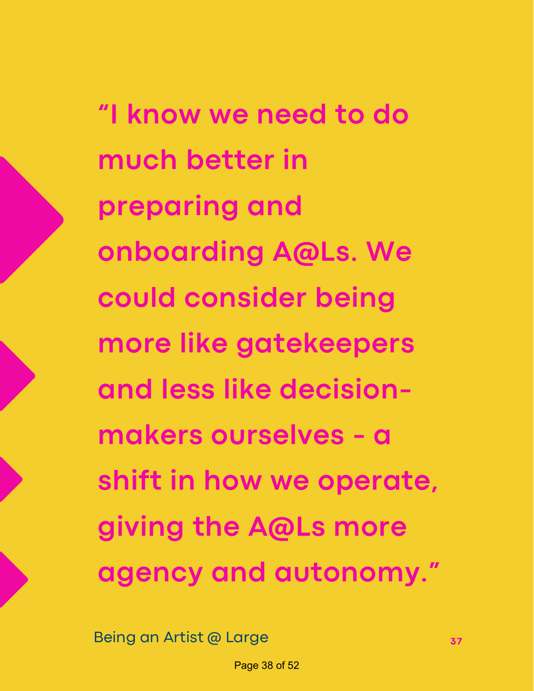**"I know we need to do much better in onboarding A@Ls. We could consider being more like gatekeepers and less like decision- makers ourselves - a shift in how we operate, giving the A@Ls more agency and autonomy." preparing and**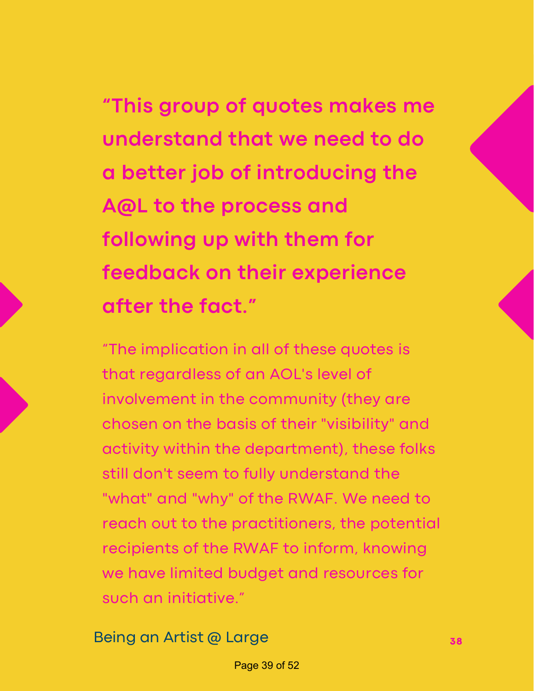### **"This group of quotes makes me understand that we need to do a better job of introducing the A@L to the process and following up with them for feedback on their experience after the fact."**

 "The implication in all of these quotes is that regardless of an AOL's level of involvement in the community (they are chosen on the basis of their "visibility" and activity within the department), these folks still don't seem to fully understand the "what" and "why" of the RWAF. We need to reach out to the practitioners, the potential recipients of the RWAF to inform, knowing we have limited budget and resources for such an initiative."

Being an Artist @ Large **<sup>38</sup>**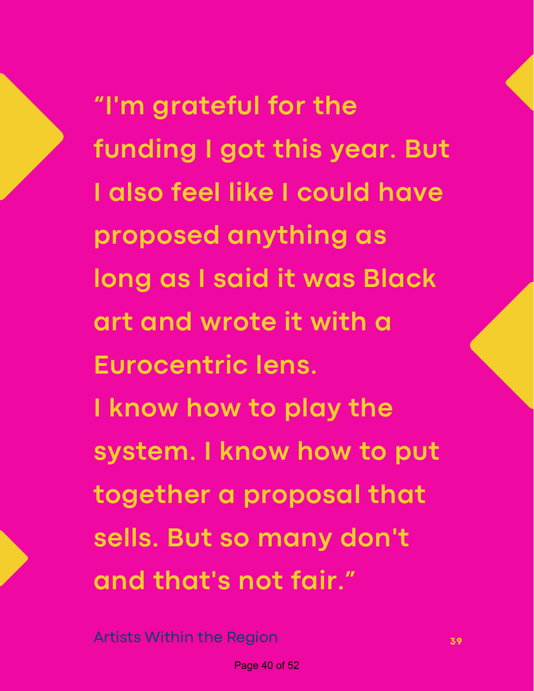**"I'm grateful for the funding I got this year. But I also feel like I could have proposed anything as long as I said it was Black art and wrote it with a I know how to play the system. I know how to put together a proposal that sells. But so many don't and that's not fair." Eurocentric lens.**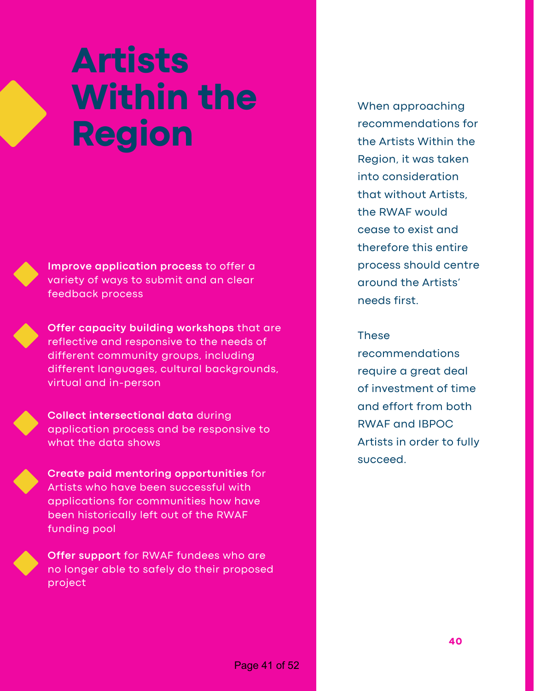# **Artists Within the Region**



 **Improve application process** to offer a variety of ways to submit and an clear feedback process



 **Offer capacity building workshops** that are reflective and responsive to the needs of different community groups, including different languages, cultural backgrounds, virtual and in-person



 **Collect intersectional data** during application process and be responsive to what the data shows



 **Offer support** for RWAF fundees who are no longer able to safely do their proposed project

 the Artists Within the Region, it was taken that without Artists, the RWAF would cease to exist and therefore this entire process should centre around the Artists' needs first. When approaching recommendations for into consideration

### **These**

 require a great deal of investment of time and effort from both RWAF and IBPOC Artists in order to fully recommendations succeed.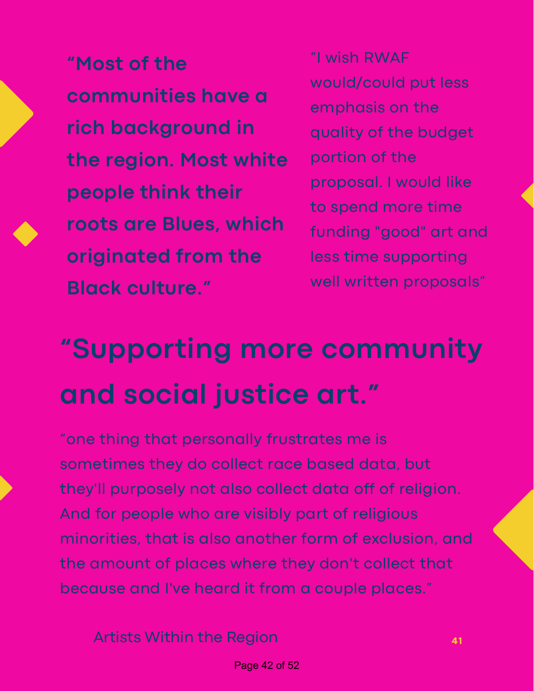"I wish RWAF **"Most of the the region. Most white** portion of the  proposal. <sup>I</sup> would like **people think their roots are Blues, which** funding "good" art and  **originated from the** less time supporting well written proposals" **Black culture."** would/could put less **communities have <sup>a</sup>** emphasis on the **rich background in** 

"I wish RWAF would/could put less emphasis on the quality of the budget portion of the proposal. I would like to spend more time funding "good" art and less time supporting

# **"Supporting more community and social justice art."**

 "one thing that personally frustrates me is sometimes they do collect race based data, but they'll purposely not also collect data off of religion. And for people who are visibly part of religious minorities, that is also another form of exclusion, and the amount of places where they don't collect that because and I've heard it from a couple places."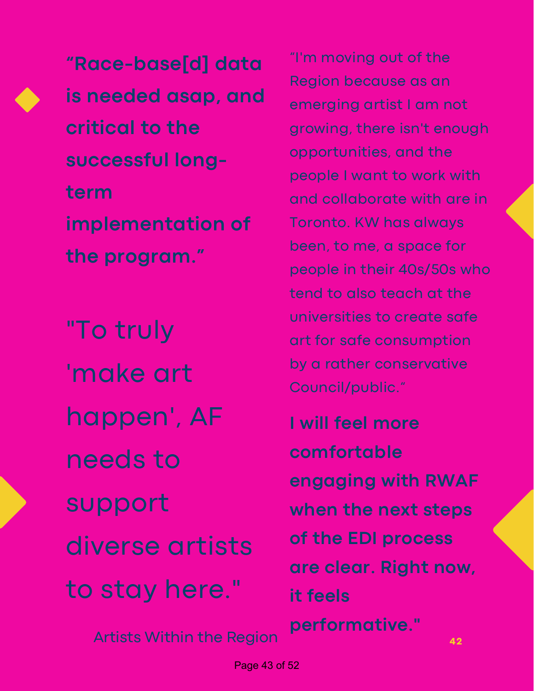**is needed asap, and critical to the "Race-base[d] data successful longterm implementation of the program."**

 to stay here." "To truly 'make art happen', AF needs to support diverse artists

Artists Within the Region

 "I'm moving out of the Region because as an emerging artist I am not growing, there isn't enough opportunities, and the people I want to work with and collaborate with are in Toronto. KW has always been, to me, a space for people in their 40s/50s who tend to also teach at the universities to create safe art for safe consumption by a rather conservative Council/public."

 **I will feel more engaging with RWAF when the next steps of the EDI process are clear. Right now, comfortable it feels performative."**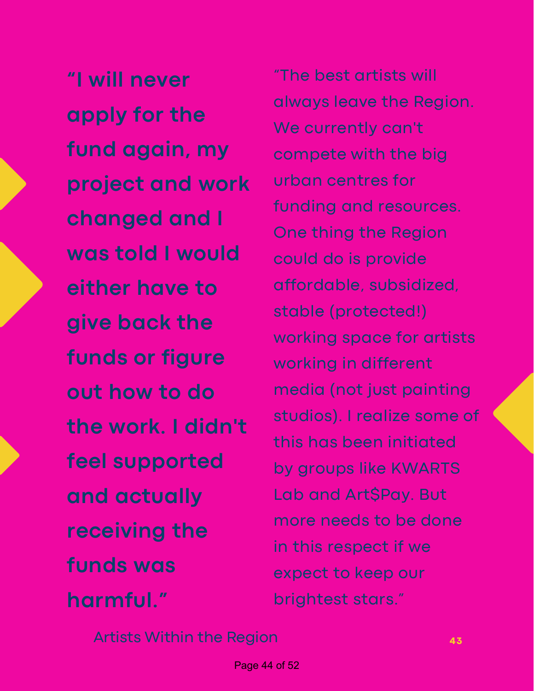**"I will never apply for the fund again, my project and work changed and I was told I would either have to give back the funds or figure out how to do the work. I didn't feel supported and actually receiving the funds was harmful."**

 "The best artists will always leave the Region. We currently can't compete with the big urban centres for funding and resources. One thing the Region could do is provide working space for artists working in different media (not just painting studios). I realize some of this has been initiated by groups like KWARTS Lab and Art\$Pay. But more needs to be done in this respect if we expect to keep our brightest stars." affordable, subsidized, stable (protected!)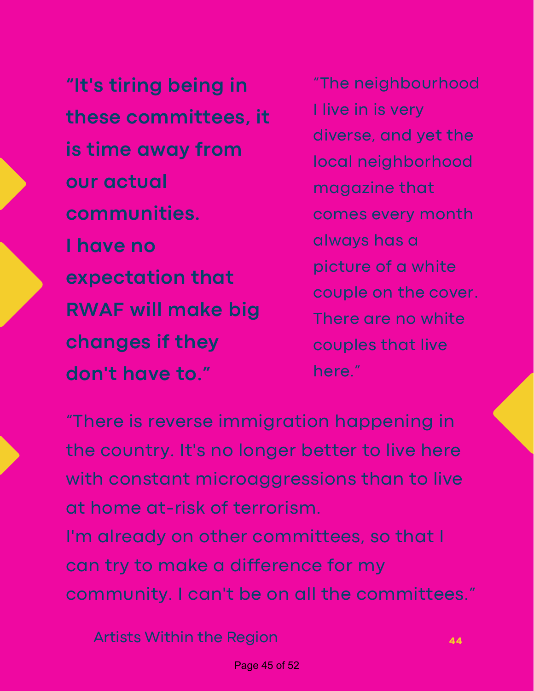**"It's tiring being in** "The neighbourhood  **is time away from** local neighborhood **l** have no  **RWAF will make big** There are no white  **changes if they** couples that live  **don't have to."** here." **communities.** comes every month always has <sup>a</sup> **I have no these committees, it our actual** magazine that **expectation that** 

I live in is very diverse, and yet the picture of a white couple on the cover. There are no white couples that live

 "There is reverse immigration happening in the country. It's no longer better to live here with constant microaggressions than to live at home at-risk of terrorism. I'm already on other committees, so that I can try to make a difference for my

community. I can't be on all the committees."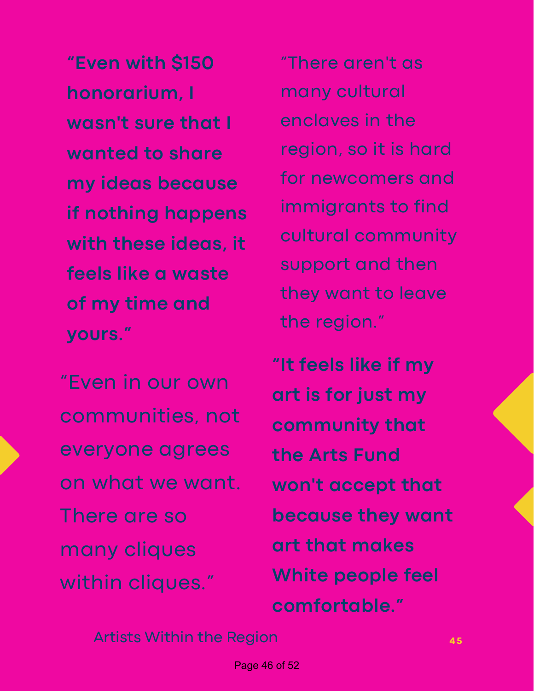**"Even with \$150** "There aren't as  **wasn't sure that I wanted to share my ideas because if nothing happens with these ideas, it feels like a waste of my time and honorarium, I yours."**

 "Even in our own on what we want. There are so communities, not everyone agrees many cliques within cliques."

"There aren't as enclaves in the region, so it is hard immigrants to find support and then they want to leave many cultural for newcomers and cultural community the region."

 **"It feels like if my art is for just my the Arts Fund won't accept that because they want art that makes White people feel community that comfortable."**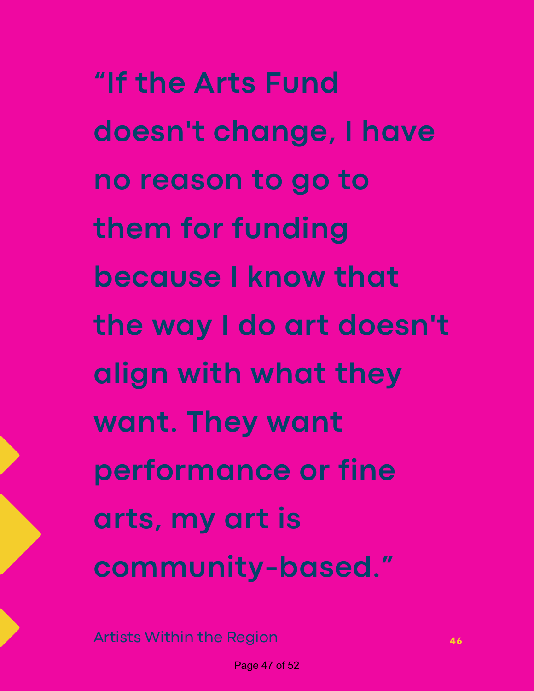**"If the Arts Fund doesn't change, I have no reason to go to them for funding because I know that the way I do art doesn't align with what they want. They want performance or fine arts, my art is community-based."**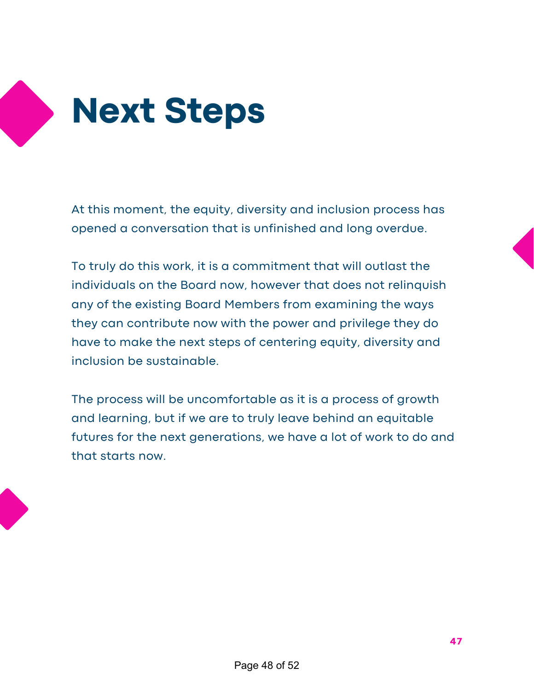

 At this moment, the equity, diversity and inclusion process has opened a conversation that is unfinished and long overdue.

 To truly do this work, it is a commitment that will outlast the individuals on the Board now, however that does not relinquish any of the existing Board Members from examining the ways they can contribute now with the power and privilege they do have to make the next steps of centering equity, diversity and inclusion be sustainable.

 The process will be uncomfortable as it is a process of growth and learning, but if we are to truly leave behind an equitable futures for the next generations, we have a lot of work to do and that starts now.

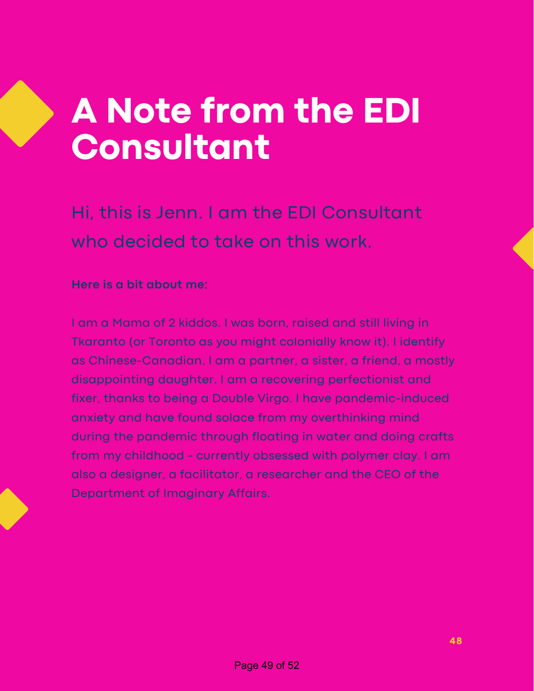# **A Note from the EDI Consultant**

 Hi, this is Jenn. I am the EDI Consultant who decided to take on this work.

### **Here is a bit about me:**

 I am a Mama of 2 kiddos. I was born, raised and still living in Tkaranto (or Toronto as you might colonially know it). I identify as Chinese-Canadian. I am a partner, a sister, a friend, a mostly disappointing daughter. I am a recovering perfectionist and fixer, thanks to being a Double Virgo. I have pandemic-induced anxiety and have found solace from my overthinking mind during the pandemic through floating in water and doing crafts from my childhood - currently obsessed with polymer clay. I am also a designer, a facilitator, a researcher and the CEO of the Department of Imaginary Affairs.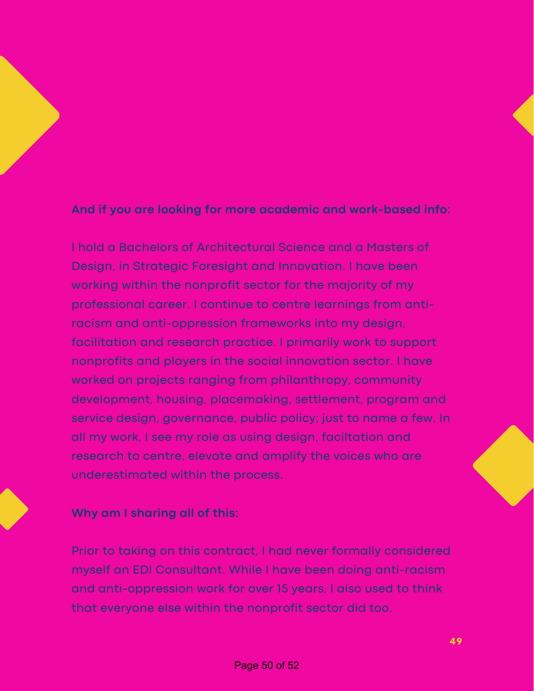### **And if you are looking for more academic and work-based info:**

 I hold a Bachelors of Architectural Science and a Masters of Design, in Strategic Foresight and Innovation. I have been working within the nonprofit sector for the majority of my professional career. I continue to centre learnings from anti- racism and anti-oppression frameworks into my design, facilitation and research practice. I primarily work to support nonprofits and players in the social innovation sector. I have worked on projects ranging from philanthropy, community development, housing, placemaking, settlement, program and service design, governance, public policy; just to name a few. In all my work, I see my role as using design, faciltation and research to centre, elevate and amplify the voices who are underestimated within the process.

### **Why am I sharing all of this:**

 Prior to taking on this contract, I had never formally considered myself an EDI Consultant. While I have been doing anti-racism and anti-oppression work for over 15 years, I also used to think that everyone else within the nonprofit sector did too.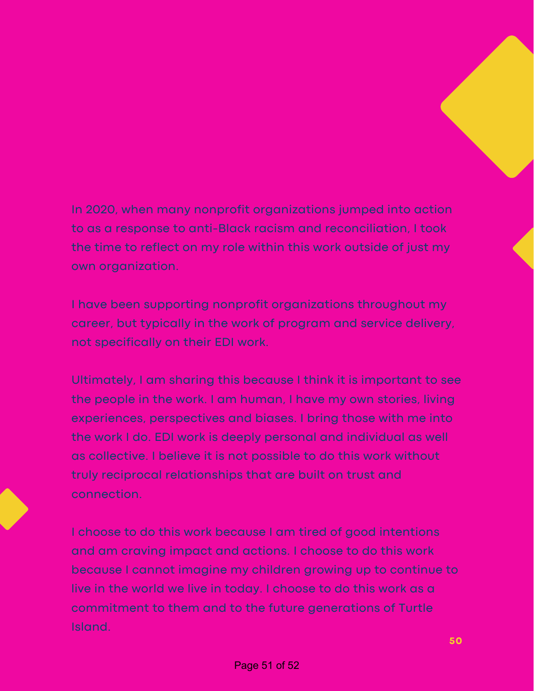### In 2020, when many nonprofit organizations jumped into action to as a response to anti-Black racism and reconciliation, I took the time to reflect on my role within this work outside of just my own organization.

 I have been supporting nonprofit organizations throughout my career, but typically in the work of program and service delivery, not specifically on their EDI work.

 Ultimately, I am sharing this because I think it is important to see the people in the work. I am human, I have my own stories, living experiences, perspectives and biases. I bring those with me into the work I do. EDI work is deeply personal and individual as well as collective. I believe it is not possible to do this work without truly reciprocal relationships that are built on trust and connection.

 I choose to do this work because I am tired of good intentions and am craving impact and actions. I choose to do this work because I cannot imagine my children growing up to continue to live in the world we live in today. I choose to do this work as a commitment to them and to the future generations of Turtle Island.